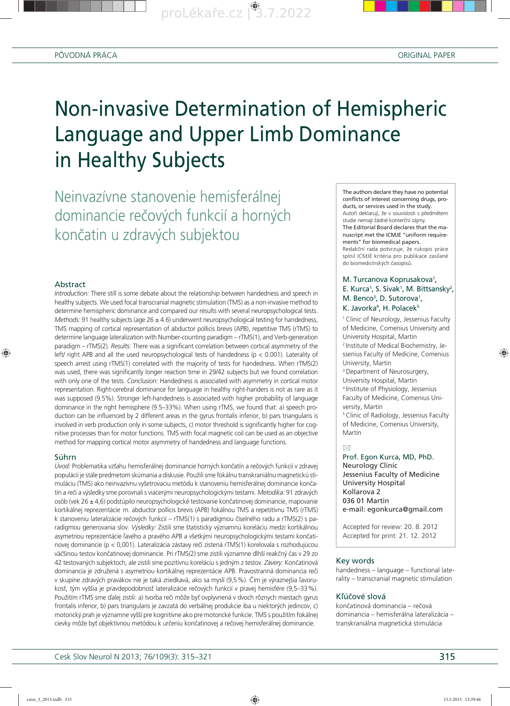

proLékaře.cz<sup>9</sup>3.7.2022



# Non-invasive Determination of Hemispheric Language and Upper Limb Dominance in Healthy Subjects

Neinvazívne stanovenie hemisferálnej dominancie rečových funkcií a horných končatin u zdravých subjektou

#### Abstract

◈

*Introduct*io*n:* There still is some debate about the relationship between handedness and speech in healthy subjects. We used focal transcranial magnetic stimulation (TMS) as a non-invasive method to determine hemispheric dominance and compared our results with several neuropsychological tests. *Methods:* 91 healthy subjects (age 26 ± 4.6) underwent neuropsychological testing for handedness, TMS mapping of cortical representation of abductor pollicis brevis (APB), repetitive TMS (rTMS) to determine language lateralization with Number-counting paradigm – rTMS(1), and Verb-generation paradigm – rTMS(2)*. Results:* There was a significant correlation between cortical asymmetry of the left/ right APB and all the used neuropsychological tests of handedness ( $p < 0.001$ ). Laterality of speech arrest using rTMS(1) correlated with the majority of tests for handedness. When rTMS(2) was used, there was significantly longer reaction time in 29/42 subjects but we found correlation with only one of the tests*. Conclusion:* Handedness is associated with asymmetry in cortical motor representation. Right-cerebral dominance for language in healthy right-handers is not as rare as it was supposed (9.5%). Stronger left-handedness is associated with higher probability of language dominance in the right hemisphere (9.5–33%). When using rTMS, we found that: a) speech production can be influenced by 2 different areas in the gyrus frontalis inferior, b) pars triangularis is involved in verb production only in some subjects, c) motor threshold is significantly higher for cognitive processes than for motor functions. TMS with focal magnetic coil can be used as an objective method for mapping cortical motor asymmetry of handedness and language functions.

#### Súhrn

*Úvod:* Problematika vzťahu hemisferálnej dominancie horných končatín a rečových funkcií v zdravej populácii je stále predmetom skúmania a diskusie. Použili sme fokálnu transkraniálnu magnetickú stimuláciu (TMS) ako neinvazívnu vyšetrovaciu metódu k stanoveniu hemisferálnej dominancie končatín a reči a výsledky sme porovnali s viacerými neuropsychologickými testami. *Metodika:* 91 zdravých osôb (vek 26 ± 4,6) podstúpilo neuropsychologické testovanie končatinovej dominancie, mapovanie kortikálnej reprezentácie m. abductor pollicis brevis (APB) fokálnou TMS a repetitívnu TMS (rTMS) k stanoveniu lateralizácie rečových funkcií – rTMS(1) s paradigmou číselného radu a rTMS(2) s paradigmou generovania slov*. Výsledky:* Zistili sme štatisticky významnú koreláciu medzi kortikálnou asymetriou reprezentácie ľavého a pravého APB a všetkými neuropsychologickými testami končatinovej dominancie (p < 0,001). Lateralizácia zástavy reči zistená rTMS(1) korelovala s rozhodujúcou väčšinou testov končatinovej dominancie. Pri rTMS(2) sme zistili významne dlhší reakčný čas v 29 zo 42 testovaných subjektoch, ale zistili sme pozitívnu koreláciu s jedným z testov*. Závery:* Končatinová dominancia je združená s asymetriou kortikálnej reprezentácie APB. Pravostranná dominancia reči v skupine zdravých pravákov nie je taká zriedkavá, ako sa myslí (9,5 %). Čím je výraznejšia ľavorukosť, tým vyššia je pravdepodobnosť lateralizácie rečových funkcií v pravej hemisfére (9,5–33 %). Použitím rTMS sme ďalej zistili: a) tvorba reči môže byť ovplyvnená v dvoch rôznych miestach gyrus frontalis inferior, b) pars triangularis je zavzatá do verbálnej produkcie iba u niektorých jedincov, c) motorický prah je významne vyšší pre kognitívne ako pre motorické funkcie. TMS s použitím fokálnej cievky môže byť objektívnou metódou k určeniu končatinovej a rečovej hemisferálnej dominancie.

The authors declare they have no potential conflicts of interest concerning drugs, products, or services used in the study. Autoři deklarují, že v souvislosti s předmětem studie nemají žádné komerční zájmy. The Editorial Board declares that the manu script met the ICMJE "uniform requirements" for biomedical papers. Redakční rada potvrzuje, že rukopis práce splnil ICMJE kritéria pro publikace zasílané do biomedicínských časopisů.

# M. Turcanova Koprusakova<sup>1</sup>, E. Kurca<sup>1</sup>, S. Sivak<sup>1</sup>, M. Bittsansky<sup>2</sup>, M. Benco<sup>3</sup>, D. Sutorova<sup>1</sup>, K. Javorka<sup>4</sup>, H. Polacek<sup>5</sup>

<sup>1</sup> Clinic of Neurology, Jessenius Faculty of Medicine, Comenius University and University Hospital, Martin

2 Institute of Medical Biochemistry, Jessenius Faculty of Medicine, Comenius University, Martin

♠

<sup>3</sup> Department of Neurosurgery, University Hospital, Martin

4 Institute of Physiology, Jessenius Faculty of Medicine, Comenius University, Martin

5 Clinic of Radiology, Jessenius Faculty of Medicine, Comenius University, Martin

 $\boxtimes$ 

Prof. Egon Kurca, MD, PhD. Neurology Clinic Jessenius Faculty of Medicine University Hospital Kollarova 2 036 01 Martin e-mail: egonkurca@gmail.com

Accepted for review: 20. 8. 2012 Accepted for print: 21. 12. 2012

#### Key words

handedness – language – functional laterality – transcranial magnetic stimulation

#### Kľúčové slová

končatinová dominancia – rečová dominancia – hemisferálna lateralizácia – transkraniálna magnetická stimulácia

Cesk Slov Neurol N 2013; 76/109(3): 315–321 315–321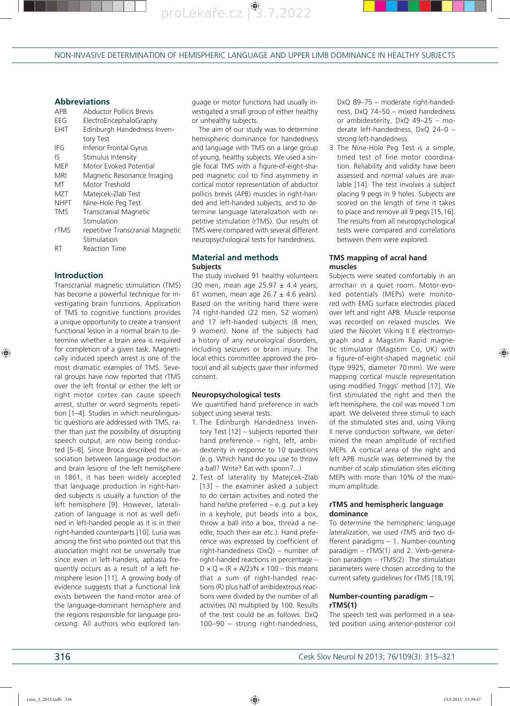proLékaře.cz<sup>8</sup>3.7.2022

NON-INVASIVE DETERMINATION OF HEMISPHERIC LANGUAGE AND UPPER LIMB DOMINANCE IN HEALTHY SUBJECTS

#### **Abbreviations**

| <b>APR</b><br>EEG<br>EHIT | Abductor Pollicis Brevis<br>ElectroEncephaloGraphy<br>Edinburgh Handedness Inven-<br>tory Test |
|---------------------------|------------------------------------------------------------------------------------------------|
| IFG                       | Inferior Frontal Gyrus                                                                         |
| I۲                        | Stimulus Intensity                                                                             |
| MFP                       | Motor Evoked Potential                                                                         |
| MRI                       | Magnetic Resonance Imaging                                                                     |
| МT                        | Motor Treshold                                                                                 |
| M7T                       | Matejcek-Zlab Test                                                                             |
| NHPT                      | Nine-Hole Peg Test                                                                             |
| <b>TMS</b>                | <b>Transcranial Magnetic</b>                                                                   |
|                           | Stimulation                                                                                    |
| rTMS                      | repetitive Transcranial Magnetic                                                               |
|                           | Stimulation                                                                                    |
| RT                        | <b>Reaction Time</b>                                                                           |

#### **Introduction**

⊕

Transcranial magnetic stimulation (TMS) has become a powerful technique for investigating brain functions. Application of TMS to cognitive functions provides a unique opportunity to create a transient functional lesion in a normal brain to determine whether a brain area is required for completion of a given task. Magnetically induced speech arrest is one of the most dramatic examples of TMS. Several groups have now reported that rTMS over the left frontal or either the left or right motor cortex can cause speech arrest, stutter or word segments repetition [1–4]. Studies in which neurolinguistic questions are addressed with TMS, rather than just the possibility of disrupting speech output, are now being conducted [5–8]. Since Broca described the association between language production and brain lesions of the left hemisphere in 1861, it has been widely accepted that language production in right-handed subjects is usually a function of the left hemisphere [9]. However, lateralization of language is not as well defined in left-handed people as it is in their right-handed counterparts [10]. Luria was among the first who pointed out that this association might not be universally true since even in left-handers, aphasia frequently occurs as a result of a left hemisphere lesion [11]. A growing body of evidence suggests that a functional link exists between the hand-motor area of the language-dominant hemisphere and the regions responsible for language processing. All authors who explored language or motor functions had usually investigated a small group of either healthy or unhealthy subjects.

The aim of our study was to determine hemispheric dominance for handedness and language with TMS on a large group of young, healthy subjects. We used a single focal TMS with a figure-of-eight-shaped magnetic coil to find asymmetry in cortical motor representation of abductor pollicis brevis (APB) muscles in right-handed and left-handed subjects, and to determine language lateralization with repetitive stimulation (rTMS). Our results of TMS were compared with several different neuropsychological tests for handedness.

# **Material and methods Subjects**

The study involved 91 healthy volunteers (30 men, mean age  $25.97 \pm 4.4$  years; 61 women, mean age  $26.7 \pm 4.6$  years). Based on the writing hand there were 74 right-handed (22 men, 52 women) and 17 left-handed subjects (8 men, 9 women). None of the subjects had a history of any neurological disorders, including seizures or brain injury. The local ethics committee approved the protocol and all subjects gave their informed consent.

#### **Neuropsychological tests**

We quantified hand preference in each subject using several tests:

- 1. The Edinburgh Handedness Inventory Test [12] – subjects reported their hand preference – right, left, ambidexterity in response to 10 questions (e. g. Which hand do you use to throw a ball? Write? Eat with spoon?...)
- 2. Test of laterality by Matejcek-Zlab [13] – the examiner asked a subject to do certain activities and noted the hand he/she preferred – e. g. put a key in a keyhole, put beads into a box, throw a ball into a box, thread a needle, touch their ear etc.). Hand preference was expressed by coefficient of right-handedness (DxQ) – number of right-handed reactions in percentage –  $D \times Q = (R + A/2)/N \times 100$  – this means that a sum of right-handed reactions (R) plus half of ambidextrous reactions were divided by the number of all activities (N) multiplied by 100. Results of the test could be as follows: DxQ 100–90 – strong right-handedness,

DxQ 89–75 – moderate right-handedness, DxQ 74–50 – mixed handedness or ambidexterity, DxQ 49–25 – moderate left-handedness, DxQ 24–0 – strong left-handedness.

3. The Nine-Hole Peg Test is a simple, timed test of fine motor coordination. Reliability and validity have been assessed and normal values are available [14]. The test involves a subject placing 9 pegs in 9 holes. Subjects are scored on the length of time it takes to place and remove all 9 pegs [15,16]. The results from all neuropsychological tests were compared and correlations between them were explored.

#### **TMS mapping of acral hand muscles**

Subjects were seated comfortably in an armchair in a quiet room. Motor-evoked potentials (MEPs) were monitored with EMG surface electrodes placed over left and right APB. Muscle response was recorded on relaxed muscles. We used the Nicolet Viking II E electromyograph and a Magstim Rapid magnetic stimulator (Magstim Co, UK) with a figure-of-eight-shaped magnetic coil (type 9925, diameter 70 mm). We were mapping cortical muscle representation using modified Triggs' method [17]. We first stimulated the right and then the left hemisphere, the coil was moved 1 cm apart. We delivered three stimuli to each of the stimulated sites and, using Viking II nerve conduction software, we determined the mean amplitude of rectified MEPs. A cortical area of the right and left APB muscle was determined by the number of scalp stimulation sites eliciting MEPs with more than 10% of the maximum amplitude.

# **rTMS and hemispheric language dominance**

To determine the hemispheric language lateralization, we used rTMS and two different paradigms – 1. Number-counting paradigm – rTMS(1) and 2. Verb-generation paradigm – rTMS(2). The stimulation parameters were chosen according to the current safety guidelines for rTMS [18,19].

# **Number-counting paradigm – rTMS(1)**

The speech test was performed in a seated position using anterior-posterior coil ♠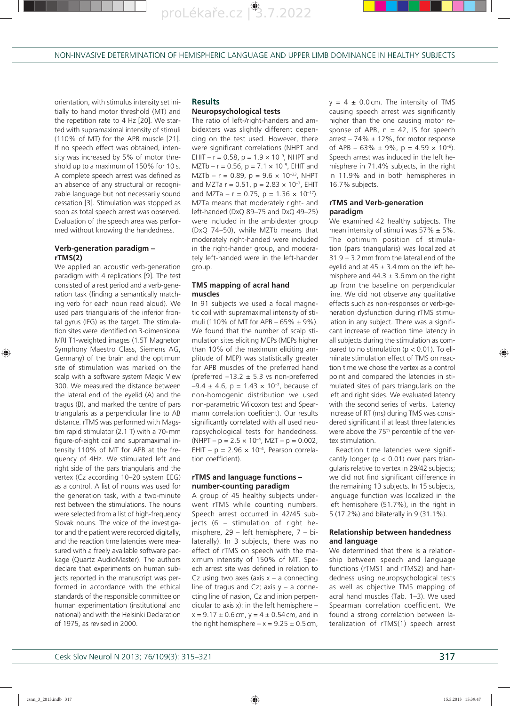

proLékaře.cz<sup>8</sup>3.7.2022

NON-INVASIVE DETERMINATION OF HEMISPHERIC LANGUAGE AND UPPER LIMB DOMINANCE IN HEALTHY SUBJECTS

orientation, with stimulus intensity set initially to hand motor threshold (MT) and the repetition rate to 4 Hz [20]. We started with supramaximal intensity of stimuli (110% of MT) for the APB muscle [21]. If no speech effect was obtained, intensity was increased by 5% of motor threshold up to a maximum of 150% for 10 s. A complete speech arrest was defined as an absence of any structural or recognizable language but not necessarily sound cessation [3]. Stimulation was stopped as soon as total speech arrest was observed. Evaluation of the speech area was performed without knowing the handedness.

# **Verb-generation paradigm – rTMS(2)**

We applied an acoustic verb-generation paradigm with 4 replications [9]. The test consisted of a rest period and a verb-generation task (finding a semantically matching verb for each noun read aloud). We used pars triangularis of the inferior frontal gyrus (IFG) as the target. The stimulation sites were identified on 3-dimensional MRI T1-weighted images (1.5T Magneton Symphony Maestro Class, Siemens AG, Germany) of the brain and the optimum site of stimulation was marked on the scalp with a software system Magic View 300. We measured the distance between the lateral end of the eyelid (A) and the tragus (B), and marked the centre of pars triangularis as a perpendicular line to AB distance. rTMS was performed with Magstim rapid stimulator (2.1 T) with a 70- mm figure-of-eight coil and supramaximal intensity 110% of MT for APB at the frequency of 4Hz. We stimulated left and right side of the pars triangularis and the vertex (Cz according 10–20 system EEG) as a control. A list of nouns was used for the generation task, with a two-minute rest between the stimulations. The nouns were selected from a list of high-frequency Slovak nouns. The voice of the investigator and the patient were recorded digitally, and the reaction time latencies were measured with a freely available software package (Quartz AudioMaster). The authors declare that experiments on human subjects reported in the manuscript was performed in accordance with the ethical standards of the responsible committee on human experimentation (institutional and national) and with the Helsinki Declaration of 1975, as revised in 2000.

# **Results**

# **Neuropsychological tests**

The ratio of left-/right-handers and ambidexters was slightly different depending on the test used. However, there were significant correlations (NHPT and EHIT –  $r = 0.58$ ,  $p = 1.9 \times 10^{-9}$ , NHPT and  $MZTb - r = 0.56$ ,  $p = 7.1 \times 10^{-9}$ , EHIT and MZTb – r = 0.89, p =  $9.6 \times 10^{-33}$ , NHPT and MZTa  $r = 0.51$ ,  $p = 2.83 \times 10^{-7}$ , EHIT and MZTa – r = 0.75, p = 1.36  $\times$  10<sup>-17</sup>). MZTa means that moderately right- and left-handed (DxQ 89–75 and DxQ 49–25) were included in the ambidexter group (DxQ 74–50), while MZTb means that moderately right-handed were included in the right-hander group, and moderately left-handed were in the left-hander group.

#### **TMS mapping of acral hand muscles**

In 91 subjects we used a focal magnetic coil with supramaximal intensity of stimuli (110% of MT for APB –  $65\% \pm 9\%$ ). We found that the number of scalp stimulation sites eliciting MEPs (MEPs higher than 10% of the maximum eliciting amplitude of MEP) was statistically greater for APB muscles of the preferred hand (preferred  $-13.2 \pm 5.3$  vs non-preferred  $-9.4 \pm 4.6$ , p = 1.43  $\times$  10<sup>-7</sup>, because of non-homogenic distribution we used non-parametric Wilcoxon test and Spearmann correlation coeficient). Our results significantly correlated with all used neuropsychological tests for handedness.  $(NHPT - p = 2.5 \times 10^{-4}$ , MZT - p = 0.002, EHIT –  $p = 2.96 \times 10^{-4}$ , Pearson correlation coefficient).

#### **rTMS and language functions – number-counting paradigm**

A group of 45 healthy subjects underwent rTMS while counting numbers. Speech arrest occurred in 42/45 subjects (6 – stimulation of right hemisphere, 29 – left hemisphere, 7 – bilaterally). In 3 subjects, there was no effect of rTMS on speech with the maximum intensity of 150% of MT. Speech arrest site was defined in relation to Cz using two axes (axis  $x - a$  connecting line of tragus and Cz; axis  $y - a$  connecting line of nasion, Cz and inion perpendicular to axis  $x$ ): in the left hemisphere –  $x = 9.17 \pm 0.6$  cm,  $y = 4 \pm 0.54$  cm, and in the right hemisphere  $-x = 9.25 \pm 0.5$  cm,  $y = 4 \pm 0.0$  cm. The intensity of TMS causing speech arrest was significantly higher than the one causing motor response of APB,  $n = 42$ , IS for speech arrest – 74%  $\pm$  12%, for motor response of APB –  $63\% \pm 9\%$ , p =  $4.59 \times 10^{-6}$ ). Speech arrest was induced in the left hemisphere in 71.4% subjects, in the right in 11.9% and in both hemispheres in 16.7% subjects.

#### **rTMS and Verb-generation paradigm**

We examined 42 healthy subjects. The mean intensity of stimuli was  $57\% \pm 5\%$ . The optimum position of stimulation (pars triangularis) was localized at  $31.9 \pm 3.2$  mm from the lateral end of the eyelid and at  $45 \pm 3.4$  mm on the left hemisphere and  $44.3 \pm 3.6$  mm on the right up from the baseline on perpendicular line. We did not observe any qualitative effects such as non-responses or verb-generation dysfunction during rTMS stimulation in any subject. There was a significant increase of reaction time latency in all subjects during the stimulation as compared to no stimulation ( $p < 0.01$ ). To eliminate stimulation effect of TMS on reaction time we chose the vertex as a control point and compared the latencies in stimulated sites of pars triangularis on the left and right sides. We evaluated latency with the second series of verbs. Latency increase of RT (ms) during TMS was considered significant if at least three latencies were above the 75<sup>th</sup> percentile of the vertex stimulation.

Reaction time latencies were significantly longer ( $p < 0.01$ ) over pars triangularis relative to vertex in 29/42 subjects; we did not find significant difference in the remaining 13 subjects. In 15 subjects, language function was localized in the left hemisphere (51.7%), in the right in 5 (17.2%) and bilaterally in 9 (31.1%).

#### **Relationship between handedness and language**

We determined that there is a relationship between speech and language functions (rTMS1 and rTMS2) and handedness using neuropsychological tests as well as objective TMS mapping of acral hand muscles (Tab. 1–3). We used Spearman correlation coefficient. We found a strong correlation between lateralization of rTMS(1) speech arrest

⊕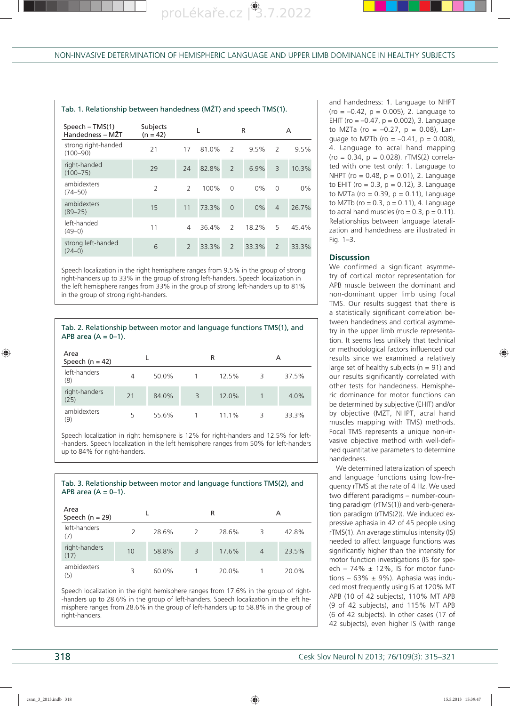| Tab. 1. Relationship between handedness (MŽT) and speech TMS(1). |                        |                |       |                          |         |                |       |  |  |  |  |
|------------------------------------------------------------------|------------------------|----------------|-------|--------------------------|---------|----------------|-------|--|--|--|--|
| $Speech - TMS(1)$<br>Handedness – MŽT                            | Subjects<br>$(n = 42)$ |                |       | R                        |         | A              |       |  |  |  |  |
| strong right-handed<br>$(100 - 90)$                              | 21                     | 17             | 81.0% | 2                        | $9.5\%$ | 2              | 9.5%  |  |  |  |  |
| right-handed<br>$(100 - 75)$                                     | 29                     | 24             | 82.8% | $\overline{\phantom{0}}$ | 6.9%    | $\overline{3}$ | 10.3% |  |  |  |  |
| ambidexters<br>$(74 - 50)$                                       | $\overline{2}$         | $\mathcal{P}$  | 100%  | $\Omega$                 | $0\%$   | $\Omega$       | $0\%$ |  |  |  |  |
| ambidexters<br>$(89 - 25)$                                       | 15                     | 11             | 73.3% | $\Omega$                 | $0\%$   | $\overline{4}$ | 26.7% |  |  |  |  |
| left-handed<br>$(49-0)$                                          | 11                     | 4              | 36.4% | $\mathcal{P}$            | 18.2%   | 5              | 45.4% |  |  |  |  |
| strong left-handed<br>$(24-0)$                                   | 6                      | $\overline{2}$ | 33.3% | $\overline{2}$           | 33.3%   | $\overline{2}$ | 33.3% |  |  |  |  |

Speech localization in the right hemisphere ranges from 9.5% in the group of strong right-handers up to 33% in the group of strong left-handers. Speech localization in the left hemisphere ranges from 33% in the group of strong left-handers up to 81% in the group of strong right-handers.

Tab. 2. Relationship between motor and language functions TMS(1), and APB area  $(A = 0-1)$ .

| Area<br>Speech ( $n = 42$ ) |    |       |                | R     | А |       |  |
|-----------------------------|----|-------|----------------|-------|---|-------|--|
| left-handers<br>(8)         | 4  | 50.0% |                | 12.5% | 3 | 37.5% |  |
| right-handers<br>(25)       | 21 | 84.0% | $\overline{3}$ | 12.0% |   | 4.0%  |  |
| ambidexters<br>(9)          | 5  | 55.6% |                | 11.1% | 3 | 33.3% |  |

Speech localization in right hemisphere is 12% for right-handers and 12.5% for left- -handers. Speech localization in the left hemisphere ranges from 50% for left-handers up to 84% for right-handers.

Tab. 3. Relationship between motor and language functions TMS(2), and

APB area  $(A = 0-1)$ . Area Area<br>Speech (n = 29) Land Rand Rand A left-handers (7) 2 28.6% 2 28.6% 3 42.8% right-handers 1911-Tranders 10 58.8% 3 17.6% 4 23.5%<br>(17) ambidexters (5) 3 60.0% 1 20.0% 1 20.0%

Speech localization in the right hemisphere ranges from 17.6% in the group of right- -handers up to 28.6% in the group of left-handers. Speech localization in the left hemisphere ranges from 28.6% in the group of left-handers up to 58.8% in the group of right-handers.

and handedness: 1. Language to NHPT  $($ ro =  $-0.42, p = 0.005)$ , 2. Language to EHIT (ro =  $-0.47$ , p = 0.002), 3. Language to MZTa (ro =  $-0.27$ , p = 0.08), Lanquage to MZTb (ro =  $-0.41$ , p = 0.008), 4. Language to acral hand mapping  $(ro = 0.34, p = 0.028)$ . rTMS $(2)$  correlated with one test only: 1. Language to NHPT (ro = 0.48, p = 0.01), 2. Language to EHIT (ro =  $0.3$ , p =  $0.12$ ), 3. Language to MZTa (ro =  $0.39$ ,  $p = 0.11$ ), Language to MZTb (ro =  $0.3$ , p =  $0.11$ ), 4. Language to acral hand muscles ( $ro = 0.3$ ,  $p = 0.11$ ). Relationships between language lateralization and handedness are illustrated in Fig. 1–3.

#### **Discussion**

We confirmed a significant asymmetry of cortical motor representation for APB muscle between the dominant and non-dominant upper limb using focal TMS. Our results suggest that there is a statistically significant correlation between handedness and cortical asymmetry in the upper limb muscle representation. It seems less unlikely that technical or methodological factors influenced our results since we examined a relatively large set of healthy subjects ( $n = 91$ ) and our results significantly correlated with other tests for handedness. Hemispheric dominance for motor functions can be determined by subjective (EHIT) and/or by objective (MZT, NHPT, acral hand muscles mapping with TMS) methods. Focal TMS represents a unique non-invasive objective method with well-defined quantitative parameters to determine handedness.

We determined lateralization of speech and language functions using low-frequency rTMS at the rate of 4 Hz. We used two different paradigms – number-counting paradigm (rTMS(1)) and verb-generation paradigm (rTMS(2)). We induced expressive aphasia in 42 of 45 people using rTMS(1). An average stimulus intensity (IS) needed to affect language functions was significantly higher than the intensity for motor function investigations (IS for speech - 74%  $\pm$  12%, IS for motor functions – 63%  $\pm$  9%). Aphasia was induced most frequently using IS at 120% MT APB (10 of 42 subjects), 110% MT APB (9 of 42 subjects), and 115% MT APB (6 of 42 subjects). In other cases (17 of 42 subjects), even higher IS (with range

♠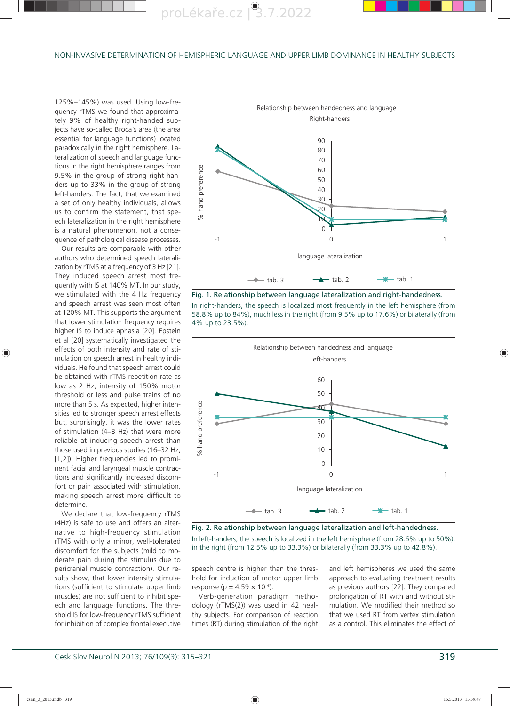proLékaře.cz<sup>8</sup>3.7.2022

125%–145%) was used. Using low-frequency rTMS we found that approximately 9% of healthy right-handed subjects have so-called Broca's area (the area essential for language functions) located paradoxically in the right hemisphere. Lateralization of speech and language functions in the right hemisphere ranges from 9.5% in the group of strong right-handers up to 33% in the group of strong left-handers. The fact, that we examined a set of only healthy individuals, allows us to confirm the statement, that speech lateralization in the right hemisphere is a natural phenomenon, not a consequence of pathological disease processes.

Our results are comparable with other authors who determined speech lateralization by rTMS at a frequency of 3 Hz [21]. They induced speech arrest most frequently with IS at 140% MT. In our study, we stimulated with the 4 Hz frequency and speech arrest was seen most often at 120% MT. This supports the argument that lower stimulation frequency requires higher IS to induce aphasia [20]. Epstein et al [20] systematically investigated the effects of both intensity and rate of stimulation on speech arrest in healthy individuals. He found that speech arrest could be obtained with rTMS repetition rate as low as 2 Hz, intensity of 150% motor threshold or less and pulse trains of no more than 5 s. As expected, higher intensities led to stronger speech arrest effects but, surprisingly, it was the lower rates of stimulation (4–8 Hz) that were more reliable at inducing speech arrest than those used in previous studies (16–32 Hz; [1,2]). Higher frequencies led to prominent facial and laryngeal muscle contractions and significantly increased discomfort or pain associated with stimulation, making speech arrest more difficult to determine.

We declare that low-frequency rTMS (4Hz) is safe to use and offers an alternative to high-frequency stimulation rTMS with only a minor, well-tolerated discomfort for the subjects (mild to moderate pain during the stimulus due to pericranial muscle contraction). Our results show, that lower intensity stimulations (sufficient to stimulate upper limb muscles) are not sufficient to inhibit speech and language functions. The threshold IS for low-frequency rTMS sufficient for inhibition of complex frontal executive



Fig. 1. Relationship between language lateralization and right-handedness.

In right-handers, the speech is localized most frequently in the left hemisphere (from 58.8% up to 84%), much less in the right (from 9.5% up to 17.6%) or bilaterally (from 4% up to 23.5%).



Fig. 2. Relationship between language lateralization and left-handedness.

In left-handers, the speech is localized in the left hemisphere (from 28.6% up to 50%), in the right (from 12.5% up to 33.3%) or bilaterally (from 33.3% up to 42.8%).

speech centre is higher than the threshold for induction of motor upper limb response (p =  $4.59 \times 10^{-6}$ ).

Verb-generation paradigm methodology (rTMS(2)) was used in 42 healthy subjects. For comparison of reaction times (RT) during stimulation of the right and left hemispheres we used the same approach to evaluating treatment results as previous authors [22]. They compared prolongation of RT with and without stimulation. We modified their method so that we used RT from vertex stimulation as a control. This eliminates the effect of

◈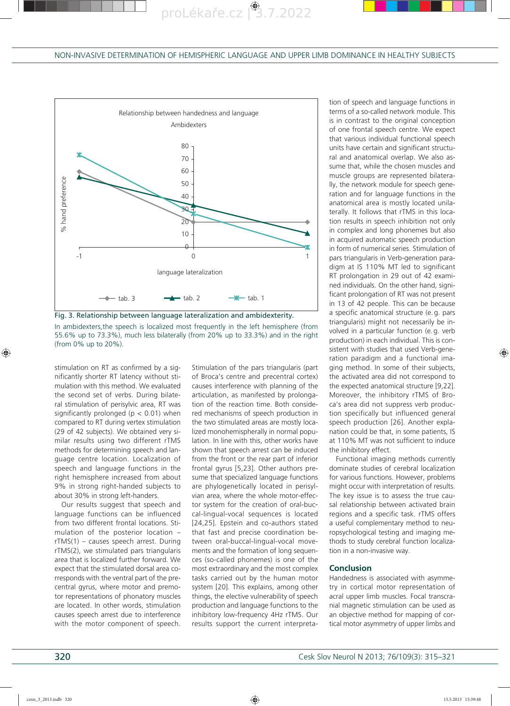





stimulation on RT as confirmed by a significantly shorter RT latency without stimulation with this method. We evaluated the second set of verbs. During bilateral stimulation of perisylvic area, RT was significantly prolonged ( $p < 0.01$ ) when compared to RT during vertex stimulation (29 of 42 subjects). We obtained very similar results using two different rTMS methods for determining speech and language centre location. Localization of speech and language functions in the right hemisphere increased from about 9% in strong right-handed subjects to about 30% in strong left-handers.

Our results suggest that speech and language functions can be influenced from two different frontal locations. Stimulation of the posterior location – rTMS(1) – causes speech arrest. During rTMS(2), we stimulated pars triangularis area that is localized further forward. We expect that the stimulated dorsal area corresponds with the ventral part of the precentral gyrus, where motor and premotor representations of phonatory muscles are located. In other words, stimulation causes speech arrest due to interference with the motor component of speech.

Stimulation of the pars triangularis (part of Broca's centre and precentral cortex) causes interference with planning of the articulation, as manifested by prolongation of the reaction time. Both considered mechanisms of speech production in the two stimulated areas are mostly localized monohemispherally in normal population. In line with this, other works have shown that speech arrest can be induced from the front or the rear part of inferior frontal gyrus [5,23]. Other authors presume that specialized language functions are phylogenetically located in perisylvian area, where the whole motor-effector system for the creation of oral-buccal-lingual-vocal sequences is located [24,25]. Epstein and co-authors stated that fast and precise coordination between oral-buccal-lingual-vocal movements and the formation of long sequences (so-called phonemes) is one of the most extraordinary and the most complex tasks carried out by the human motor system [20]. This explains, among other things, the elective vulnerability of speech production and language functions to the inhibitory low-frequency 4Hz rTMS. Our results support the current interpreta-

tion of speech and language functions in terms of a so-called network module. This is in contrast to the original conception of one frontal speech centre. We expect that various individual functional speech units have certain and significant structural and anatomical overlap. We also assume that, while the chosen muscles and muscle groups are represented bilaterally, the network module for speech generation and for language functions in the anatomical area is mostly located unilaterally. It follows that rTMS in this location results in speech inhibition not only in complex and long phonemes but also in acquired automatic speech production in form of numerical series. Stimulation of pars triangularis in Verb-generation paradigm at IS 110% MT led to significant RT prolongation in 29 out of 42 examined individuals. On the other hand, significant prolongation of RT was not present in 13 of 42 people. This can be because a specific anatomical structure (e. g. pars triangularis) might not necessarily be involved in a particular function (e. g. verb production) in each individual. This is consistent with studies that used Verb-generation paradigm and a functional imaging method. In some of their subjects, the activated area did not correspond to the expected anatomical structure [9,22]. Moreover, the inhibitory rTMS of Broca's area did not suppress verb production specifically but influenced general speech production [26]. Another explanation could be that, in some patients, IS at 110% MT was not sufficient to induce the inhibitory effect.

Functional imaging methods currently dominate studies of cerebral localization for various functions. However, problems might occur with interpretation of results. The key issue is to assess the true causal relationship between activated brain regions and a specific task. rTMS offers a useful complementary method to neuropsychological testing and imaging methods to study cerebral function localization in a non-invasive way.

#### **Conclusion**

Handedness is associated with asymmetry in cortical motor representation of acral upper limb muscles. Focal transcranial magnetic stimulation can be used as an objective method for mapping of cortical motor asymmetry of upper limbs and

◈

♠